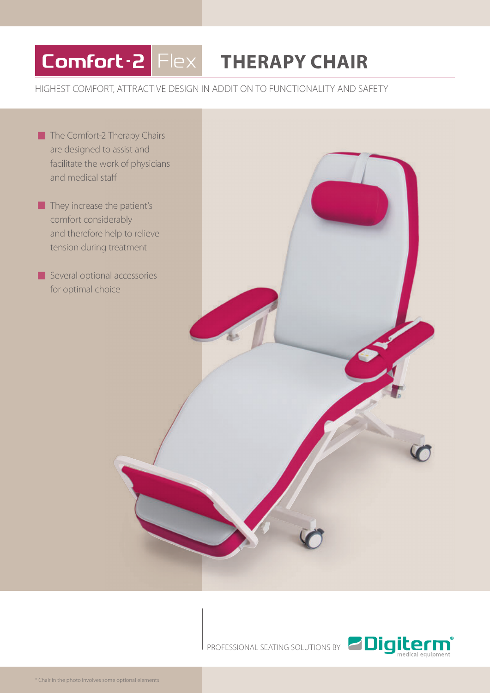## Comfort-2 Flex

## **THERAPY CHAIR**

## HIGHEST COMFORT, ATTRACTIVE DESIGN IN ADDITION TO FUNCTIONALITY AND SAFETY

- The Comfort-2 Therapy Chairs are designed to assist and facilitate the work of physicians and medical staff
- They increase the patient's comfort considerably and therefore help to relieve tension during treatment

Several optional accessories for optimal choice